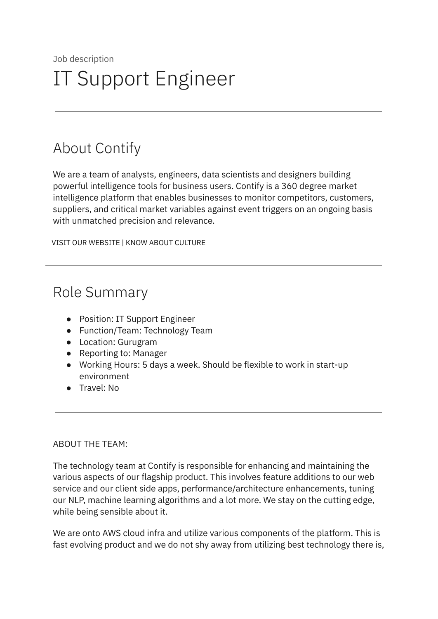# About Contify

We are a team of analysts, engineers, data scientists and designers building powerful intelligence tools for business users. Contify is a 360 degree market intelligence platform that enables businesses to monitor competitors, customers, suppliers, and critical market variables against event triggers on an ongoing basis with unmatched precision and relevance.

VISIT OUR [WEBSITE](http://contify.com/) | KNOW ABOUT [CULTURE](https://app.box.com/s/729fu9kwnix6x7g1ix0u)

# Role Summary

- Position: IT Support Engineer
- Function/Team: Technology Team
- Location: Gurugram
- Reporting to: Manager
- Working Hours: 5 days a week. Should be flexible to work in start-up environment
- Travel: No

## ABOUT THE TEAM:

The technology team at Contify is responsible for enhancing and maintaining the various aspects of our flagship product. This involves feature additions to our web service and our client side apps, performance/architecture enhancements, tuning our NLP, machine learning algorithms and a lot more. We stay on the cutting edge, while being sensible about it.

We are onto AWS cloud infra and utilize various components of the platform. This is fast evolving product and we do not shy away from utilizing best technology there is,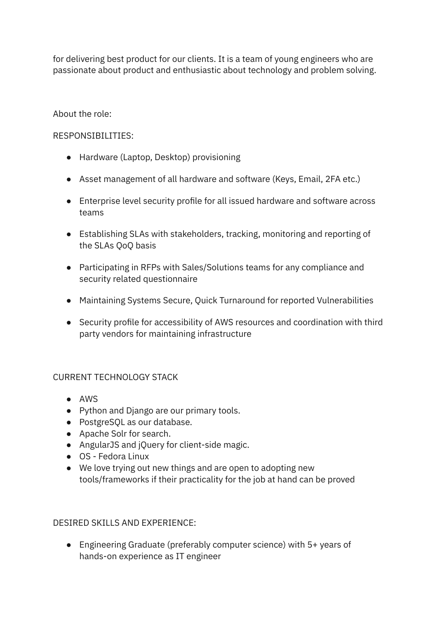for delivering best product for our clients. It is a team of young engineers who are passionate about product and enthusiastic about technology and problem solving.

# About the role:

# RESPONSIBILITIES:

- Hardware (Laptop, Desktop) provisioning
- Asset management of all hardware and software (Keys, Email, 2FA etc.)
- Enterprise level security profile for all issued hardware and software across teams
- Establishing SLAs with stakeholders, tracking, monitoring and reporting of the SLAs QoQ basis
- Participating in RFPs with Sales/Solutions teams for any compliance and security related questionnaire
- Maintaining Systems Secure, Quick Turnaround for reported Vulnerabilities
- Security profile for accessibility of AWS resources and coordination with third party vendors for maintaining infrastructure

## CURRENT TECHNOLOGY STACK

- AWS
- Python and Django are our primary tools.
- PostgreSQL as our database.
- Apache Solr for search.
- AngularJS and jQuery for client-side magic.
- OS Fedora Linux
- We love trying out new things and are open to adopting new tools/frameworks if their practicality for the job at hand can be proved

## DESIRED SKILLS AND EXPERIENCE:

● Engineering Graduate (preferably computer science) with 5+ years of hands-on experience as IT engineer